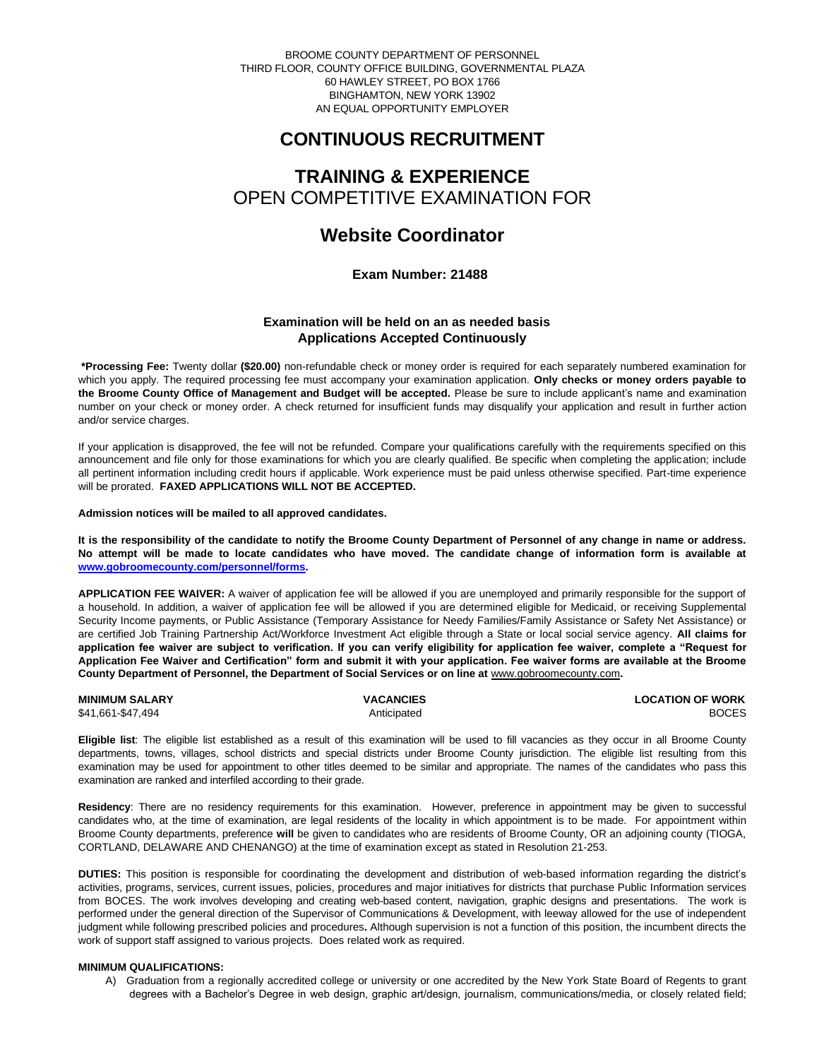BROOME COUNTY DEPARTMENT OF PERSONNEL THIRD FLOOR, COUNTY OFFICE BUILDING, GOVERNMENTAL PLAZA 60 HAWLEY STREET, PO BOX 1766 BINGHAMTON, NEW YORK 13902 AN EQUAL OPPORTUNITY EMPLOYER

# **CONTINUOUS RECRUITMENT**

# **TRAINING & EXPERIENCE** OPEN COMPETITIVE EXAMINATION FOR

# **Website Coordinator**

 **Exam Number: 21488**

# **Examination will be held on an as needed basis Applications Accepted Continuously**

**\*Processing Fee:** Twenty dollar **(\$20.00)** non-refundable check or money order is required for each separately numbered examination for which you apply. The required processing fee must accompany your examination application. **Only checks or money orders payable to the Broome County Office of Management and Budget will be accepted.** Please be sure to include applicant's name and examination number on your check or money order. A check returned for insufficient funds may disqualify your application and result in further action and/or service charges.

If your application is disapproved, the fee will not be refunded. Compare your qualifications carefully with the requirements specified on this announcement and file only for those examinations for which you are clearly qualified. Be specific when completing the application; include all pertinent information including credit hours if applicable. Work experience must be paid unless otherwise specified. Part-time experience will be prorated. **FAXED APPLICATIONS WILL NOT BE ACCEPTED.** 

**Admission notices will be mailed to all approved candidates.** 

**It is the responsibility of the candidate to notify the Broome County Department of Personnel of any change in name or address. No attempt will be made to locate candidates who have moved. The candidate change of information form is available at [www.gobroomecounty.com/personnel/forms.](http://www.gobroomecounty.com/personnel/forms)** 

**APPLICATION FEE WAIVER:** A waiver of application fee will be allowed if you are unemployed and primarily responsible for the support of a household. In addition, a waiver of application fee will be allowed if you are determined eligible for Medicaid, or receiving Supplemental Security Income payments, or Public Assistance (Temporary Assistance for Needy Families/Family Assistance or Safety Net Assistance) or are certified Job Training Partnership Act/Workforce Investment Act eligible through a State or local social service agency. **All claims for application fee waiver are subject to verification. If you can verify eligibility for application fee waiver, complete a "Request for Application Fee Waiver and Certification" form and submit it with your application. Fee waiver forms are available at the Broome County Department of Personnel, the Department of Social Services or on line at** www.gobroomecounty.com**.** 

| <b>MINIMUM SALARY</b> | <b>VACANCIES</b> | <b>LOCATION OF WORK</b> |
|-----------------------|------------------|-------------------------|
| \$41,661-\$47,494     | Anticipated      | <b>BOCES</b>            |

**Eligible list**: The eligible list established as a result of this examination will be used to fill vacancies as they occur in all Broome County departments, towns, villages, school districts and special districts under Broome County jurisdiction. The eligible list resulting from this examination may be used for appointment to other titles deemed to be similar and appropriate. The names of the candidates who pass this examination are ranked and interfiled according to their grade.

**Residency**: There are no residency requirements for this examination. However, preference in appointment may be given to successful candidates who, at the time of examination, are legal residents of the locality in which appointment is to be made. For appointment within Broome County departments, preference **will** be given to candidates who are residents of Broome County, OR an adjoining county (TIOGA, CORTLAND, DELAWARE AND CHENANGO) at the time of examination except as stated in Resolution 21-253.

**DUTIES:** This position is responsible for coordinating the development and distribution of web-based information regarding the district's activities, programs, services, current issues, policies, procedures and major initiatives for districts that purchase Public Information services from BOCES. The work involves developing and creating web-based content, navigation, graphic designs and presentations. The work is performed under the general direction of the Supervisor of Communications & Development, with leeway allowed for the use of independent judgment while following prescribed policies and procedures**.** Although supervision is not a function of this position, the incumbent directs the work of support staff assigned to various projects. Does related work as required.

## **MINIMUM QUALIFICATIONS:**

A) Graduation from a regionally accredited college or university or one accredited by the New York State Board of Regents to grant degrees with a Bachelor's Degree in web design, graphic art/design, journalism, communications/media, or closely related field;